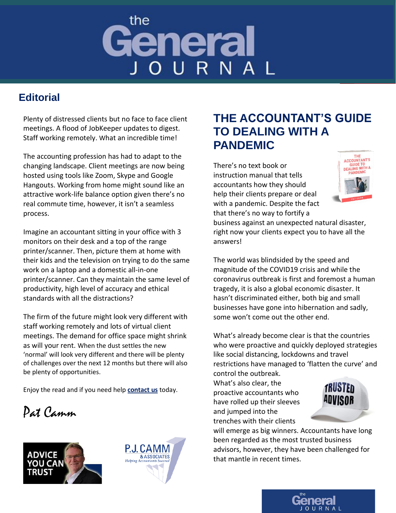## the General JOURNAL

### **Editorial**

Plenty of distressed clients but no face to face client meetings. A flood of JobKeeper updates to digest. Staff working remotely. What an incredible time!

The accounting profession has had to adapt to the changing landscape. Client meetings are now being hosted using tools like Zoom, Skype and Google Hangouts. Working from home might sound like an attractive work-life balance option given there's no real commute time, however, it isn't a seamless process.

Imagine an accountant sitting in your office with 3 monitors on their desk and a top of the range printer/scanner. Then, picture them at home with their kids and the television on trying to do the same work on a laptop and a domestic all-in-one printer/scanner. Can they maintain the same level of productivity, high level of accuracy and ethical standards with all the distractions?

The firm of the future might look very different with staff working remotely and lots of virtual client meetings. The demand for office space might shrink as will your rent. When the dust settles the new 'normal' will look very different and there will be plenty of challenges over the next 12 months but there will also be plenty of opportunities.

Enjoy the read and if you need help **[contact us](https://www.pjcamm.com.au/contact/)** today.

Pat Camm





## **THE ACCOUNTANT'S GUIDE TO DEALING WITH A PANDEMIC**

There's no text book or instruction manual that tells accountants how they should help their clients prepare or deal with a pandemic. Despite the fact



that there's no way to fortify a business against an unexpected natural disaster, right now your clients expect you to have all the answers!

The world was blindsided by the speed and magnitude of the COVID19 crisis and while the coronavirus outbreak is first and foremost a human tragedy, it is also a global economic disaster. It hasn't discriminated either, both big and small businesses have gone into hibernation and sadly, some won't come out the other end.

What's already become clear is that the countries who were proactive and quickly deployed strategies like social distancing, lockdowns and travel restrictions have managed to 'flatten the curve' and control the outbreak.

What's also clear, the proactive accountants who have rolled up their sleeves and jumped into the trenches with their clients



will emerge as big winners. Accountants have long been regarded as the most trusted business advisors, however, they have been challenged for that mantle in recent times.

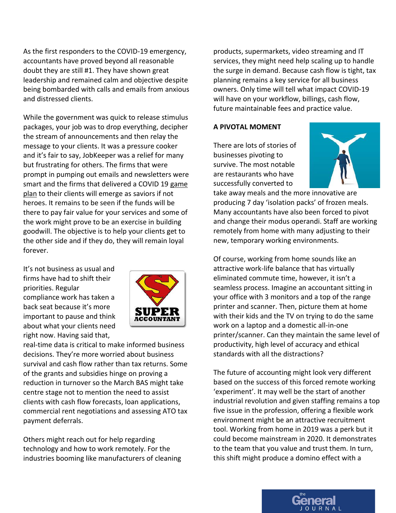As the first responders to the COVID-19 emergency, accountants have proved beyond all reasonable doubt they are still #1. They have shown great leadership and remained calm and objective despite being bombarded with calls and emails from anxious and distressed clients.

While the government was quick to release stimulus packages, your job was to drop everything, decipher the stream of announcements and then relay the message to your clients. It was a pressure cooker and it's fair to say, JobKeeper was a relief for many but frustrating for others. The firms that were prompt in pumping out emails and newsletters were smart and the firms that delivered a COVID 19 [game](https://www.pjcamm.com.au/blog/whats-your-client-covid19-game-plan/)  [plan](https://www.pjcamm.com.au/blog/whats-your-client-covid19-game-plan/) to their clients will emerge as saviors if not heroes. It remains to be seen if the funds will be there to pay fair value for your services and some of the work might prove to be an exercise in building goodwill. The objective is to help your clients get to the other side and if they do, they will remain loyal forever.

It's not business as usual and firms have had to shift their priorities. Regular compliance work has taken a back seat because it's more important to pause and think about what your clients need right now. Having said that,



real-time data is critical to make informed business decisions. They're more worried about business survival and cash flow rather than tax returns. Some of the grants and subsidies hinge on proving a reduction in turnover so the March BAS might take centre stage not to mention the need to assist clients with cash flow forecasts, loan applications, commercial rent negotiations and assessing ATO tax payment deferrals.

Others might reach out for help regarding technology and how to work remotely. For the industries booming like manufacturers of cleaning products, supermarkets, video streaming and IT services, they might need help scaling up to handle the surge in demand. Because cash flow is tight, tax planning remains a key service for all business owners. Only time will tell what impact COVID-19 will have on your workflow, billings, cash flow, future maintainable fees and practice value.

#### **A PIVOTAL MOMENT**

There are lots of stories of businesses pivoting to survive. The most notable are restaurants who have successfully converted to



take away meals and the more innovative are producing 7 day 'isolation packs' of frozen meals. Many accountants have also been forced to pivot and change their modus operandi. Staff are working remotely from home with many adjusting to their new, temporary working environments.

Of course, working from home sounds like an attractive work-life balance that has virtually eliminated commute time, however, it isn't a seamless process. Imagine an accountant sitting in your office with 3 monitors and a top of the range printer and scanner. Then, picture them at home with their kids and the TV on trying to do the same work on a laptop and a domestic all-in-one printer/scanner. Can they maintain the same level of productivity, high level of accuracy and ethical standards with all the distractions?

The future of accounting might look very different based on the success of this forced remote working 'experiment'. It may well be the start of another industrial revolution and given staffing remains a top five issue in the profession, offering a flexible work environment might be an attractive recruitment tool. Working from home in 2019 was a perk but it could become mainstream in 2020. It demonstrates to the team that you value and trust them. In turn, this shift might produce a domino effect with a

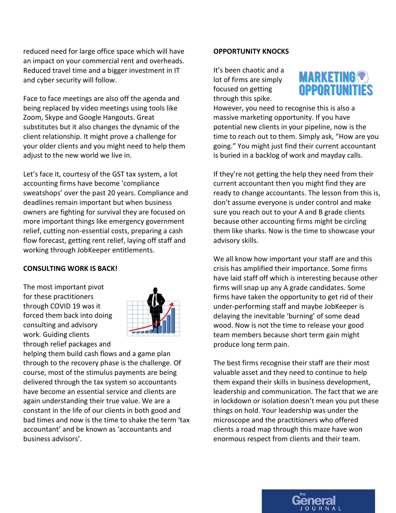reduced need for large office space which will have an impact on your commercial rent and overheads. Reduced travel time and a bigger investment in IT and cyber security will follow.

Face to face meetings are also off the agenda and being replaced by video meetings using tools like Zoom, Skype and Google Hangouts. Great substitutes but it also changes the dynamic of the client relationship. It might prove a challenge for your older clients and you might need to help them adjust to the new world we live in.

Let's face it, courtesy of the GST tax system, a lot accounting firms have become 'compliance sweatshops' over the past 20 years. Compliance and deadlines remain important but when business owners are fighting for survival they are focused on more important things like emergency government relief, cutting non-essential costs, preparing a cash flow forecast, getting rent relief, laying off staff and working through JobKeeper entitlements.

#### **CONSULTING WORK IS BACK!**

The most important pivot for these practitioners through COVID 19 was it forced them back into doing consulting and advisory work. Guiding clients through relief packages and



helping them build cash flows and a game plan through to the recovery phase is the challenge. Of course, most of the stimulus payments are being delivered through the tax system so accountants have become an essential service and clients are again understanding their true value. We are a constant in the life of our clients in both good and bad times and now is the time to shake the term 'tax accountant' and be known as 'accountants and business advisors'.

#### **OPPORTUNITY KNOCKS**

It's been chaotic and a lot of firms are simply focused on getting through this spike.



However, you need to recognise this is also a massive marketing opportunity. If you have potential new clients in your pipeline, now is the time to reach out to them. Simply ask, "How are you going." You might just find their current accountant is buried in a backlog of work and mayday calls.

If they're not getting the help they need from their current accountant then you might find they are ready to change accountants. The lesson from this is, don't assume everyone is under control and make sure you reach out to your A and B grade clients because other accounting firms might be circling them like sharks. Now is the time to showcase your advisory skills.

We all know how important your staff are and this crisis has amplified their importance. Some firms have laid staff off which is interesting because other firms will snap up any A grade candidates. Some firms have taken the opportunity to get rid of their under-performing staff and maybe JobKeeper is delaying the inevitable 'burning' of some dead wood. Now is not the time to release your good team members because short term gain might produce long term pain.

The best firms recognise their staff are their most valuable asset and they need to continue to help them expand their skills in business development, leadership and communication. The fact that we are in lockdown or isolation doesn't mean you put these things on hold. Your leadership was under the microscope and the practitioners who offered clients a road map through this maze have won enormous respect from clients and their team.

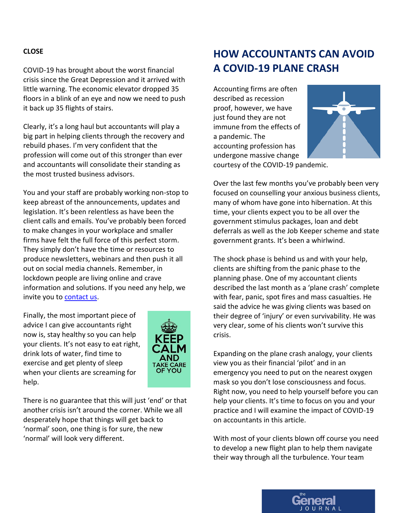#### **CLOSE**

COVID-19 has brought about the worst financial crisis since the Great Depression and it arrived with little warning. The economic elevator dropped 35 floors in a blink of an eye and now we need to push it back up 35 flights of stairs.

Clearly, it's a long haul but accountants will play a big part in helping clients through the recovery and rebuild phases. I'm very confident that the profession will come out of this stronger than ever and accountants will consolidate their standing as the most trusted business advisors.

You and your staff are probably working non-stop to keep abreast of the announcements, updates and legislation. It's been relentless as have been the client calls and emails. You've probably been forced to make changes in your workplace and smaller firms have felt the full force of this perfect storm. They simply don't have the time or resources to produce newsletters, webinars and then push it all out on social media channels. Remember, in lockdown people are living online and crave information and solutions. If you need any help, we invite you to [contact us.](https://www.pjcamm.com.au/contact/)

Finally, the most important piece of advice I can give accountants right now is, stay healthy so you can help your clients. It's not easy to eat right, drink lots of water, find time to exercise and get plenty of sleep when your clients are screaming for help.



There is no guarantee that this will just 'end' or that another crisis isn't around the corner. While we all desperately hope that things will get back to 'normal' soon, one thing is for sure, the new 'normal' will look very different.

## **HOW ACCOUNTANTS CAN AVOID A COVID-19 PLANE CRASH**

Accounting firms are often described as recession proof, however, we have just found they are not immune from the effects of a pandemic. The accounting profession has undergone massive change



courtesy of the COVID-19 pandemic.

Over the last few months you've probably been very focused on counselling your anxious business clients, many of whom have gone into hibernation. At this time, your clients expect you to be all over the government stimulus packages, loan and debt deferrals as well as the Job Keeper scheme and state government grants. It's been a whirlwind.

The shock phase is behind us and with your help, clients are shifting from the panic phase to the planning phase. One of my accountant clients described the last month as a 'plane crash' complete with fear, panic, spot fires and mass casualties. He said the advice he was giving clients was based on their degree of 'injury' or even survivability. He was very clear, some of his clients won't survive this crisis.

Expanding on the plane crash analogy, your clients view you as their financial 'pilot' and in an emergency you need to put on the nearest oxygen mask so you don't lose consciousness and focus. Right now, you need to help yourself before you can help your clients. It's time to focus on you and your practice and I will examine the impact of COVID-19 on accountants in this article.

With most of your clients blown off course you need to develop a new flight plan to help them navigate their way through all the turbulence. Your team

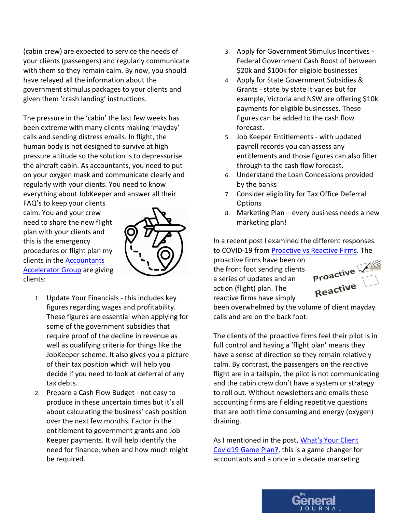(cabin crew) are expected to service the needs of your clients (passengers) and regularly communicate with them so they remain calm. By now, you should have relayed all the information about the government stimulus packages to your clients and given them 'crash landing' instructions.

The pressure in the 'cabin' the last few weeks has been extreme with many clients making 'mayday' calls and sending distress emails. In flight, the human body is not designed to survive at high pressure altitude so the solution is to depressurise the aircraft cabin. As accountants, you need to put on your oxygen mask and communicate clearly and regularly with your clients. You need to know everything about JobKeeper and answer all their

FAQ's to keep your clients calm. You and your crew need to share the new flight plan with your clients and this is the emergency procedures or flight plan my clients in the [Accountants](https://www.pjcamm.com.au/marketing/the-accountants-accelerator-group/)  **[Accelerator Group](https://www.pjcamm.com.au/marketing/the-accountants-accelerator-group/)** are giving clients:



- 1. Update Your Financials this includes key figures regarding wages and profitability. These figures are essential when applying for some of the government subsidies that require proof of the decline in revenue as well as qualifying criteria for things like the JobKeeper scheme. It also gives you a picture of their tax position which will help you decide if you need to look at deferral of any tax debts.
- 2. Prepare a Cash Flow Budget not easy to produce in these uncertain times but it's all about calculating the business' cash position over the next few months. Factor in the entitlement to government grants and Job Keeper payments. It will help identify the need for finance, when and how much might be required.
- 3. Apply for Government Stimulus Incentives Federal Government Cash Boost of between \$20k and \$100k for eligible businesses
- 4. Apply for State Government Subsidies & Grants - state by state it varies but for example, Victoria and NSW are offering \$10k payments for eligible businesses. These figures can be added to the cash flow forecast.
- 5. Job Keeper Entitlements with updated payroll records you can assess any entitlements and those figures can also filter through to the cash flow forecast.
- 6. Understand the Loan Concessions provided by the banks
- 7. Consider eligibility for Tax Office Deferral **Options**
- 8. Marketing Plan every business needs a new marketing plan!

In a recent post I examined the different responses to COVID-19 fro[m Proactive vs Reactive Firms.](https://www.pjcamm.com.au/blog/covid-19-proactive-vs-reactive-accountants/) The

proactive firms have been on the front foot sending clients a series of updates and an action (flight) plan. The reactive firms have simply



been overwhelmed by the volume of client mayday calls and are on the back foot.

The clients of the proactive firms feel their pilot is in full control and having a 'flight plan' means they have a sense of direction so they remain relatively calm. By contrast, the passengers on the reactive flight are in a tailspin, the pilot is not communicating and the cabin crew don't have a system or strategy to roll out. Without newsletters and emails these accounting firms are fielding repetitive questions that are both time consuming and energy (oxygen) draining.

As I mentioned in the post, What's Your Client [Covid19 Game Plan?,](https://www.pjcamm.com.au/blog/whats-your-client-covid19-game-plan/) this is a game changer for accountants and a once in a decade marketing

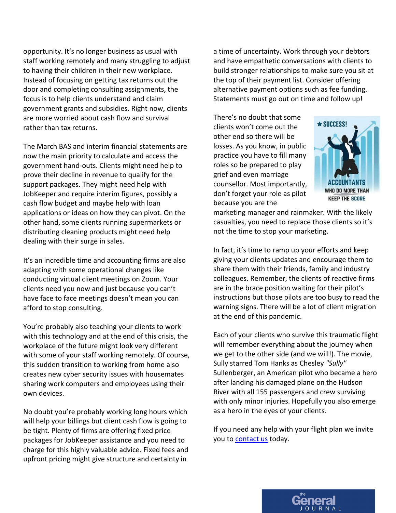opportunity. It's no longer business as usual with staff working remotely and many struggling to adjust to having their children in their new workplace. Instead of focusing on getting tax returns out the door and completing consulting assignments, the focus is to help clients understand and claim government grants and subsidies. Right now, clients are more worried about cash flow and survival rather than tax returns.

The March BAS and interim financial statements are now the main priority to calculate and access the government hand-outs. Clients might need help to prove their decline in revenue to qualify for the support packages. They might need help with JobKeeper and require interim figures, possibly a cash flow budget and maybe help with loan applications or ideas on how they can pivot. On the other hand, some clients running supermarkets or distributing cleaning products might need help dealing with their surge in sales.

It's an incredible time and accounting firms are also adapting with some operational changes like conducting virtual client meetings on Zoom. Your clients need you now and just because you can't have face to face meetings doesn't mean you can afford to stop consulting.

You're probably also teaching your clients to work with this technology and at the end of this crisis, the workplace of the future might look very different with some of your staff working remotely. Of course, this sudden transition to working from home also creates new cyber security issues with housemates sharing work computers and employees using their own devices.

No doubt you're probably working long hours which will help your billings but client cash flow is going to be tight. Plenty of firms are offering fixed price packages for JobKeeper assistance and you need to charge for this highly valuable advice. Fixed fees and upfront pricing might give structure and certainty in

a time of uncertainty. Work through your debtors and have empathetic conversations with clients to build stronger relationships to make sure you sit at the top of their payment list. Consider offering alternative payment options such as fee funding. Statements must go out on time and follow up!

There's no doubt that some clients won't come out the other end so there will be losses. As you know, in public practice you have to fill many roles so be prepared to play grief and even marriage counsellor. Most importantly, don't forget your role as pilot because you are the



marketing manager and rainmaker. With the likely casualties, you need to replace those clients so it's not the time to stop your marketing.

In fact, it's time to ramp up your efforts and keep giving your clients updates and encourage them to share them with their friends, family and industry colleagues. Remember, the clients of reactive firms are in the brace position waiting for their pilot's instructions but those pilots are too busy to read the warning signs. There will be a lot of client migration at the end of this pandemic.

Each of your clients who survive this traumatic flight will remember everything about the journey when we get to the other side (and we will!). The movie, Sully starred Tom Hanks as Chesley *"Sully"* Sullenberger, an American pilot who became a hero after landing his damaged plane on the Hudson River with all 155 passengers and crew surviving with only minor injuries. Hopefully you also emerge as a hero in the eyes of your clients.

If you need any help with your flight plan we invite you to **contact us** today.

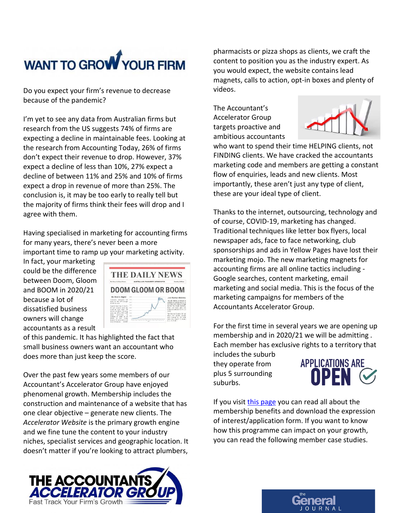# WANT TO GROW YOUR FIRM

Do you expect your firm's revenue to decrease because of the pandemic?

I'm yet to see any data from Australian firms but research from the US suggests 74% of firms are expecting a decline in maintainable fees. Looking at the research from Accounting Today, 26% of firms don't expect their revenue to drop. However, 37% expect a decline of less than 10%, 27% expect a decline of between 11% and 25% and 10% of firms expect a drop in revenue of more than 25%. The conclusion is, it may be too early to really tell but the majority of firms think their fees will drop and I agree with them.

Having specialised in marketing for accounting firms for many years, there's never been a more important time to ramp up your marketing activity.

In fact, your marketing could be the difference between Doom, Gloom and BOOM in 2020/21 because a lot of dissatisfied business owners will change accountants as a result



of this pandemic. It has highlighted the fact that small business owners want an accountant who does more than just keep the score.

Over the past few years some members of our Accountant's Accelerator Group have enjoyed phenomenal growth. Membership includes the construction and maintenance of a website that has one clear objective – generate new clients. The *Accelerator Website* is the primary growth engine and we fine tune the content to your industry niches, specialist services and geographic location. It doesn't matter if you're looking to attract plumbers,



The Accountant's Accelerator Group targets proactive and ambitious accountants



who want to spend their time HELPING clients, not FINDING clients. We have cracked the accountants marketing code and members are getting a constant flow of enquiries, leads and new clients. Most importantly, these aren't just any type of client, these are your ideal type of client.

Thanks to the internet, outsourcing, technology and of course, COVID-19, marketing has changed. Traditional techniques like letter box flyers, local newspaper ads, face to face networking, club sponsorships and ads in Yellow Pages have lost their marketing mojo. The new marketing magnets for accounting firms are all online tactics including - Google searches, content marketing, email marketing and social media. This is the focus of the marketing campaigns for members of the Accountants Accelerator Group.

For the first time in several years we are opening up membership and in 2020/21 we will be admitting . Each member has exclusive rights to a territory that

includes the suburb they operate from plus 5 surrounding suburbs.



If you visit [this page](https://www.pjcamm.com.au/marketing/the-accountants-accelerator-group/) you can read all about the membership benefits and download the expression of interest/application form. If you want to know how this programme can impact on your growth, you can read the following member case studies.